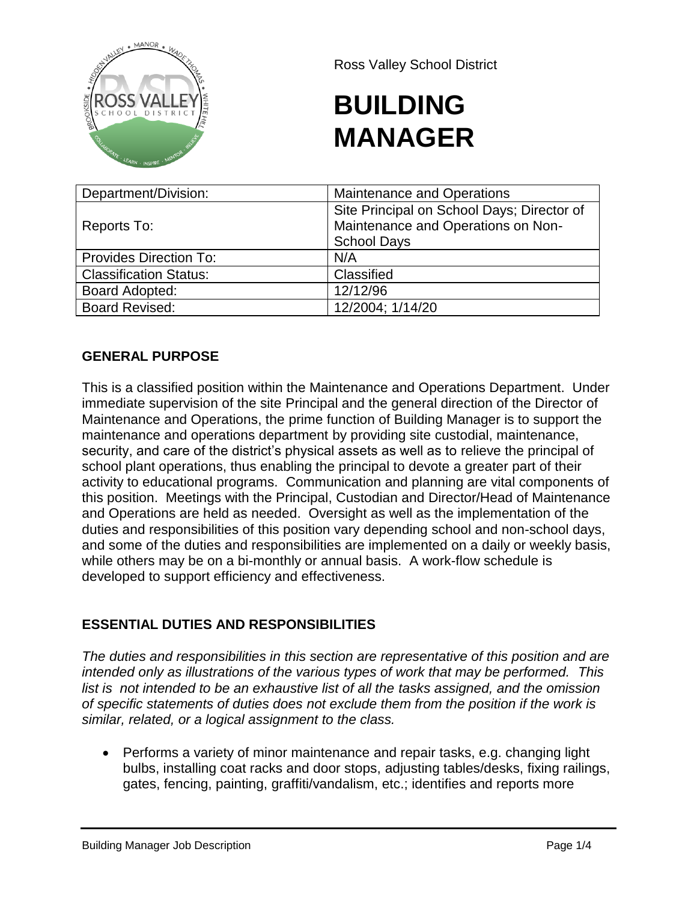

Ross Valley School District

# **BUILDING MANAGER**

| Department/Division:          | <b>Maintenance and Operations</b>                                                                      |
|-------------------------------|--------------------------------------------------------------------------------------------------------|
| Reports To:                   | Site Principal on School Days; Director of<br>Maintenance and Operations on Non-<br><b>School Days</b> |
| <b>Provides Direction To:</b> | N/A                                                                                                    |
| <b>Classification Status:</b> | Classified                                                                                             |
| <b>Board Adopted:</b>         | 12/12/96                                                                                               |
| <b>Board Revised:</b>         | 12/2004; 1/14/20                                                                                       |

# **GENERAL PURPOSE**

This is a classified position within the Maintenance and Operations Department. Under immediate supervision of the site Principal and the general direction of the Director of Maintenance and Operations, the prime function of Building Manager is to support the maintenance and operations department by providing site custodial, maintenance, security, and care of the district's physical assets as well as to relieve the principal of school plant operations, thus enabling the principal to devote a greater part of their activity to educational programs. Communication and planning are vital components of this position. Meetings with the Principal, Custodian and Director/Head of Maintenance and Operations are held as needed. Oversight as well as the implementation of the duties and responsibilities of this position vary depending school and non-school days, and some of the duties and responsibilities are implemented on a daily or weekly basis, while others may be on a bi-monthly or annual basis. A work-flow schedule is developed to support efficiency and effectiveness.

## **ESSENTIAL DUTIES AND RESPONSIBILITIES**

*The duties and responsibilities in this section are representative of this position and are intended only as illustrations of the various types of work that may be performed. This list is not intended to be an exhaustive list of all the tasks assigned, and the omission of specific statements of duties does not exclude them from the position if the work is similar, related, or a logical assignment to the class.*

• Performs a variety of minor maintenance and repair tasks, e.g. changing light bulbs, installing coat racks and door stops, adjusting tables/desks, fixing railings, gates, fencing, painting, graffiti/vandalism, etc.; identifies and reports more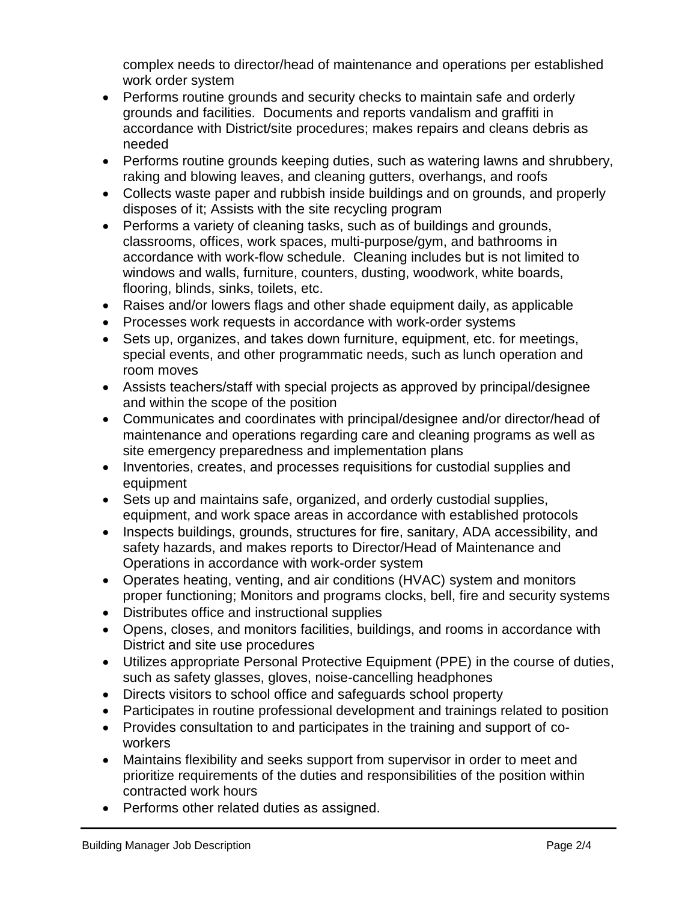complex needs to director/head of maintenance and operations per established work order system

- Performs routine grounds and security checks to maintain safe and orderly grounds and facilities. Documents and reports vandalism and graffiti in accordance with District/site procedures; makes repairs and cleans debris as needed
- Performs routine grounds keeping duties, such as watering lawns and shrubbery, raking and blowing leaves, and cleaning gutters, overhangs, and roofs
- Collects waste paper and rubbish inside buildings and on grounds, and properly disposes of it; Assists with the site recycling program
- Performs a variety of cleaning tasks, such as of buildings and grounds, classrooms, offices, work spaces, multi-purpose/gym, and bathrooms in accordance with work-flow schedule. Cleaning includes but is not limited to windows and walls, furniture, counters, dusting, woodwork, white boards, flooring, blinds, sinks, toilets, etc.
- Raises and/or lowers flags and other shade equipment daily, as applicable
- Processes work requests in accordance with work-order systems
- Sets up, organizes, and takes down furniture, equipment, etc. for meetings, special events, and other programmatic needs, such as lunch operation and room moves
- Assists teachers/staff with special projects as approved by principal/designee and within the scope of the position
- Communicates and coordinates with principal/designee and/or director/head of maintenance and operations regarding care and cleaning programs as well as site emergency preparedness and implementation plans
- Inventories, creates, and processes requisitions for custodial supplies and equipment
- Sets up and maintains safe, organized, and orderly custodial supplies, equipment, and work space areas in accordance with established protocols
- Inspects buildings, grounds, structures for fire, sanitary, ADA accessibility, and safety hazards, and makes reports to Director/Head of Maintenance and Operations in accordance with work-order system
- Operates heating, venting, and air conditions (HVAC) system and monitors proper functioning; Monitors and programs clocks, bell, fire and security systems
- Distributes office and instructional supplies
- Opens, closes, and monitors facilities, buildings, and rooms in accordance with District and site use procedures
- Utilizes appropriate Personal Protective Equipment (PPE) in the course of duties, such as safety glasses, gloves, noise-cancelling headphones
- Directs visitors to school office and safeguards school property
- Participates in routine professional development and trainings related to position
- Provides consultation to and participates in the training and support of coworkers
- Maintains flexibility and seeks support from supervisor in order to meet and prioritize requirements of the duties and responsibilities of the position within contracted work hours
- Performs other related duties as assigned.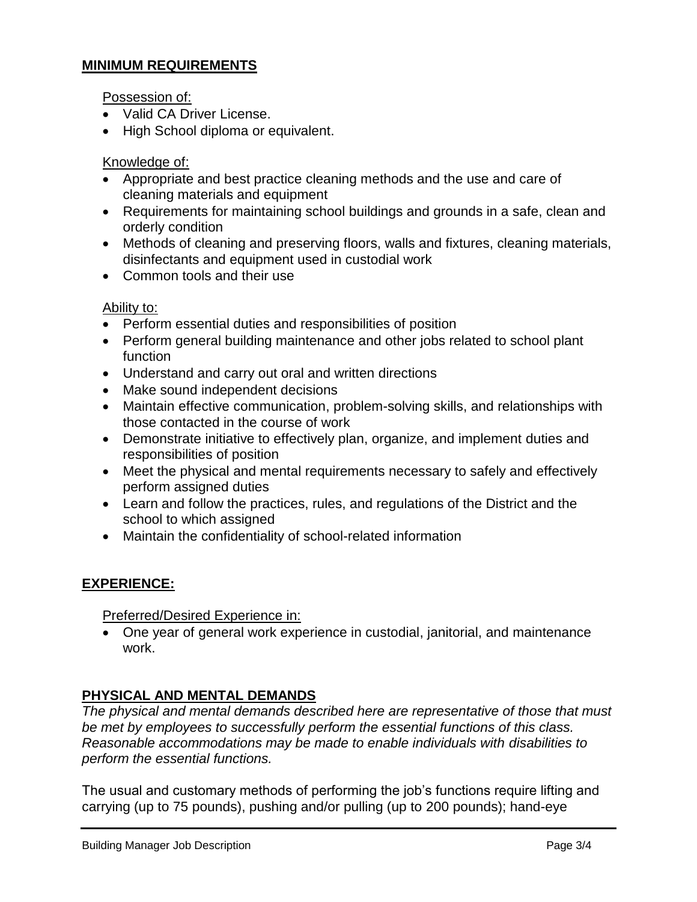## **MINIMUM REQUIREMENTS**

Possession of:

- Valid CA Driver License.
- High School diploma or equivalent.

#### Knowledge of:

- Appropriate and best practice cleaning methods and the use and care of cleaning materials and equipment
- Requirements for maintaining school buildings and grounds in a safe, clean and orderly condition
- Methods of cleaning and preserving floors, walls and fixtures, cleaning materials, disinfectants and equipment used in custodial work
- Common tools and their use

#### Ability to:

- Perform essential duties and responsibilities of position
- Perform general building maintenance and other jobs related to school plant function
- Understand and carry out oral and written directions
- Make sound independent decisions
- Maintain effective communication, problem-solving skills, and relationships with those contacted in the course of work
- Demonstrate initiative to effectively plan, organize, and implement duties and responsibilities of position
- Meet the physical and mental requirements necessary to safely and effectively perform assigned duties
- Learn and follow the practices, rules, and regulations of the District and the school to which assigned
- Maintain the confidentiality of school-related information

#### **EXPERIENCE:**

Preferred/Desired Experience in:

• One year of general work experience in custodial, janitorial, and maintenance work.

#### **PHYSICAL AND MENTAL DEMANDS**

*The physical and mental demands described here are representative of those that must be met by employees to successfully perform the essential functions of this class. Reasonable accommodations may be made to enable individuals with disabilities to perform the essential functions.*

The usual and customary methods of performing the job's functions require lifting and carrying (up to 75 pounds), pushing and/or pulling (up to 200 pounds); hand-eye